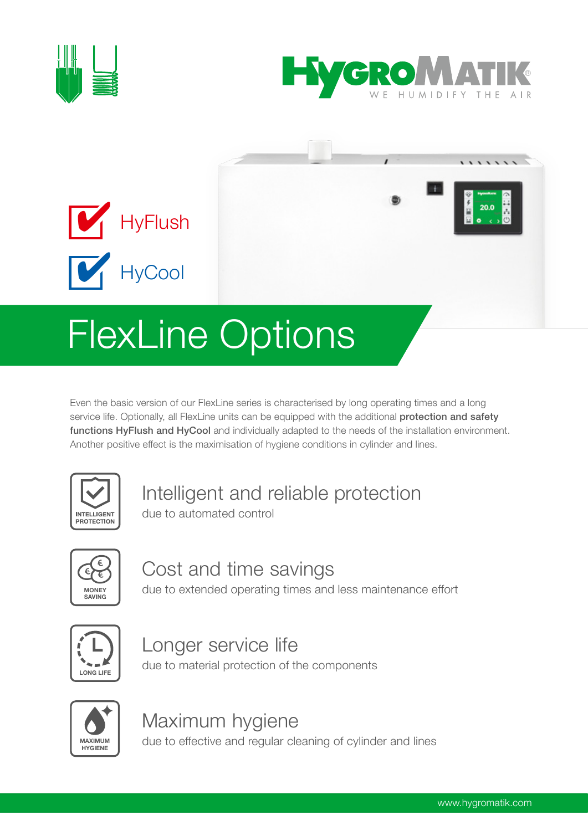





# Even the basic version of our FlexLine series is characterised by long operating times and a long

service life. Optionally, all FlexLine units can be equipped with the additional protection and safety functions HyFlush and HyCool and individually adapted to the needs of the installation environment. Another positive effect is the maximisation of hygiene conditions in cylinder and lines.



## Intelligent and reliable protection

due to automated control



## Cost and time savings

due to extended operating times and less maintenance effort



#### Longer service life due to material protection of the components



## Maximum hygiene

due to effective and regular cleaning of cylinder and lines